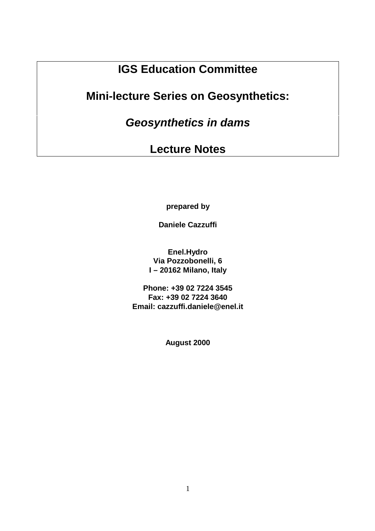# **IGS Education Committee**

## **Mini-lecture Series on Geosynthetics:**

**Geosynthetics in dams**

## **Lecture Notes**

**prepared by**

**Daniele Cazzuffi**

**Enel.Hydro Via Pozzobonelli, 6 I – 20162 Milano, Italy**

**Phone: +39 02 7224 3545 Fax: +39 02 7224 3640 Email: cazzuffi.daniele@enel.it**

**August 2000**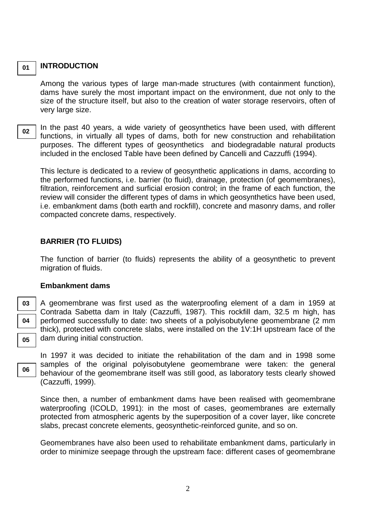#### **INTRODUCTION**

Among the various types of large man-made structures (with containment function), dams have surely the most important impact on the environment, due not only to the size of the structure itself, but also to the creation of water storage reservoirs, often of very large size.

**02**

**01**

In the past 40 years, a wide variety of geosynthetics have been used, with different functions, in virtually all types of dams, both for new construction and rehabilitation purposes. The different types of geosynthetics and biodegradable natural products included in the enclosed Table have been defined by Cancelli and Cazzuffi (1994).

This lecture is dedicated to a review of geosynthetic applications in dams, according to the performed functions, i.e. barrier (to fluid), drainage, protection (of geomembranes), filtration, reinforcement and surficial erosion control; in the frame of each function, the review will consider the different types of dams in which geosynthetics have been used, i.e. embankment dams (both earth and rockfill), concrete and masonry dams, and roller compacted concrete dams, respectively.

## **BARRIER (TO FLUIDS)**

The function of barrier (to fluids) represents the ability of a geosynthetic to prevent migration of fluids.

#### **Embankment dams**

**03 04 05**

**06**

A geomembrane was first used as the waterproofing element of a dam in 1959 at Contrada Sabetta dam in Italy (Cazzuffi, 1987). This rockfill dam, 32.5 m high, has performed successfully to date: two sheets of a polyisobutylene geomembrane (2 mm thick), protected with concrete slabs, were installed on the 1V:1H upstream face of the dam during initial construction.

In 1997 it was decided to initiate the rehabilitation of the dam and in 1998 some samples of the original polyisobutylene geomembrane were taken: the general behaviour of the geomembrane itself was still good, as laboratory tests clearly showed (Cazzuffi, 1999).

Since then, a number of embankment dams have been realised with geomembrane waterproofing (ICOLD, 1991): in the most of cases, geomembranes are externally protected from atmospheric agents by the superposition of a cover layer, like concrete slabs, precast concrete elements, geosynthetic-reinforced gunite, and so on.

Geomembranes have also been used to rehabilitate embankment dams, particularly in order to minimize seepage through the upstream face: different cases of geomembrane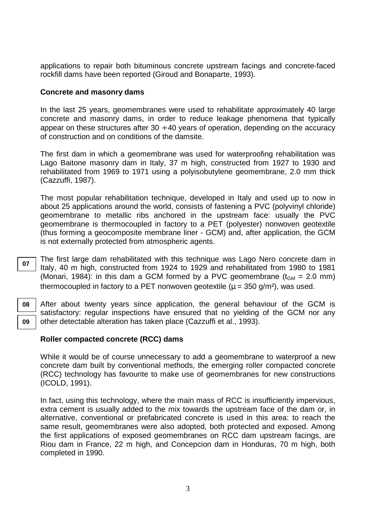applications to repair both bituminous concrete upstream facings and concrete-faced rockfill dams have been reported (Giroud and Bonaparte, 1993).

### **Concrete and masonry dams**

In the last 25 years, geomembranes were used to rehabilitate approximately 40 large concrete and masonry dams, in order to reduce leakage phenomena that typically appear on these structures after  $30 \div 40$  years of operation, depending on the accuracy of construction and on conditions of the damsite.

The first dam in which a geomembrane was used for waterproofing rehabilitation was Lago Baitone masonry dam in Italy, 37 m high, constructed from 1927 to 1930 and rehabilitated from 1969 to 1971 using a polyisobutylene geomembrane, 2.0 mm thick (Cazzuffi, 1987).

The most popular rehabilitation technique, developed in Italy and used up to now in about 25 applications around the world, consists of fastening a PVC (polyvinyl chloride) geomembrane to metallic ribs anchored in the upstream face: usually the PVC geomembrane is thermocoupled in factory to a PET (polyester) nonwoven geotextile (thus forming a geocomposite membrane liner - GCM) and, after application, the GCM is not externally protected from atmospheric agents.

The first large dam rehabilitated with this technique was Lago Nero concrete dam in Italy, 40 m high, constructed from 1924 to 1929 and rehabilitated from 1980 to 1981 (Monari, 1984): in this dam a GCM formed by a PVC geomembrane  $(t_{GM} = 2.0 \text{ mm})$ thermocoupled in factory to a PET nonwoven geotextile  $(u = 350 \text{ g/m}^2)$ , was used.

After about twenty years since application, the general behaviour of the GCM is satisfactory: regular inspections have ensured that no yielding of the GCM nor any other detectable alteration has taken place (Cazzuffi et al., 1993).

## **Roller compacted concrete (RCC) dams**

While it would be of course unnecessary to add a geomembrane to waterproof a new concrete dam built by conventional methods, the emerging roller compacted concrete (RCC) technology has favourite to make use of geomembranes for new constructions (ICOLD, 1991).

In fact, using this technology, where the main mass of RCC is insufficiently impervious, extra cement is usually added to the mix towards the upstream face of the dam or, in alternative, conventional or prefabricated concrete is used in this area: to reach the same result, geomembranes were also adopted, both protected and exposed. Among the first applications of exposed geomembranes on RCC dam upstream facings, are Riou dam in France, 22 m high, and Concepcion dam in Honduras, 70 m high, both completed in 1990.

**07**

**08 09**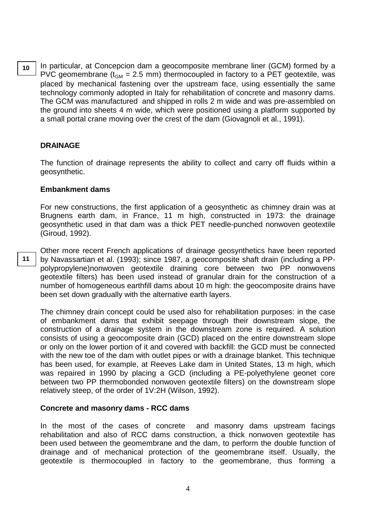**10**

In particular, at Concepcion dam a geocomposite membrane liner (GCM) formed by a PVC geomembrane ( $t_{GM}$  = 2.5 mm) thermocoupled in factory to a PET geotextile, was placed by mechanical fastening over the upstream face, using essentially the same technology commonly adopted in Italy for rehabilitation of concrete and masonry dams. The GCM was manufactured and shipped in rolls 2 m wide and was pre-assembled on the ground into sheets 4 m wide, which were positioned using a platform supported by a small portal crane moving over the crest of the dam (Giovagnoli et al., 1991).

## **DRAINAGE**

The function of drainage represents the ability to collect and carry off fluids within a geosynthetic.

#### **Embankment dams**

For new constructions, the first application of a geosynthetic as chimney drain was at Brugnens earth dam, in France, 11 m high, constructed in 1973: the drainage geosynthetic used in that dam was a thick PET needle-punched nonwoven geotextile (Giroud, 1992).

Other more recent French applications of drainage geosynthetics have been reported by Navassartian et al. (1993); since 1987, a geocomposite shaft drain (including a PPpolypropylene)nonwoven geotextile draining core between two PP nonwovens geotextile filters) has been used instead of granular drain for the construction of a number of homogeneous earthfill dams about 10 m high: the geocomposite drains have been set down gradually with the alternative earth layers. **11**

The chimney drain concept could be used also for rehabilitation purposes: in the case of embankment dams that exhibit seepage through their downstream slope, the construction of a drainage system in the downstream zone is required. A solution consists of using a geocomposite drain (GCD) placed on the entire downstream slope or only on the lower portion of it and covered with backfill: the GCD must be connected with the new toe of the dam with outlet pipes or with a drainage blanket. This technique has been used, for example, at Reeves Lake dam in United States, 13 m high, which was repaired in 1990 by placing a GCD (including a PE-polyethylene geonet core between two PP thermobonded nonwoven geotextile filters) on the downstream slope relatively steep, of the order of 1V:2H (Wilson, 1992).

#### **Concrete and masonry dams - RCC dams**

In the most of the cases of concrete and masonry dams upstream facings rehabilitation and also of RCC dams construction, a thick nonwoven geotextile has been used between the geomembrane and the dam, to perform the double function of drainage and of mechanical protection of the geomembrane itself. Usually, the geotextile is thermocoupled in factory to the geomembrane, thus forming a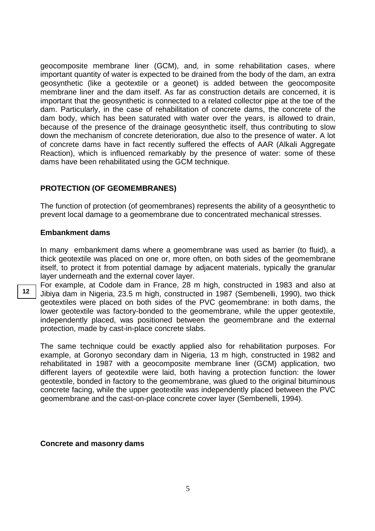geocomposite membrane liner (GCM), and, in some rehabilitation cases, where important quantity of water is expected to be drained from the body of the dam, an extra geosynthetic (like a geotextile or a geonet) is added between the geocomposite membrane liner and the dam itself. As far as construction details are concerned, it is important that the geosynthetic is connected to a related collector pipe at the toe of the dam. Particularly, in the case of rehabilitation of concrete dams, the concrete of the dam body, which has been saturated with water over the years, is allowed to drain, because of the presence of the drainage geosynthetic itself, thus contributing to slow down the mechanism of concrete deterioration, due also to the presence of water. A lot of concrete dams have in fact recently suffered the effects of AAR (Alkali Aggregate Reaction), which is influenced remarkably by the presence of water: some of these dams have been rehabilitated using the GCM technique.

#### **PROTECTION (OF GEOMEMBRANES)**

The function of protection (of geomembranes) represents the ability of a geosynthetic to prevent local damage to a geomembrane due to concentrated mechanical stresses.

#### **Embankment dams**

In many embankment dams where a geomembrane was used as barrier (to fluid), a thick geotextile was placed on one or, more often, on both sides of the geomembrane itself, to protect it from potential damage by adjacent materials, typically the granular layer underneath and the external cover layer.

For example, at Codole dam in France, 28 m high, constructed in 1983 and also at Jibiya dam in Nigeria, 23.5 m high, constructed in 1987 (Sembenelli, 1990), two thick geotextiles were placed on both sides of the PVC geomembrane: in both dams, the lower geotextile was factory-bonded to the geomembrane, while the upper geotextile, independently placed, was positioned between the geomembrane and the external protection, made by cast-in-place concrete slabs.

The same technique could be exactly applied also for rehabilitation purposes. For example, at Goronyo secondary dam in Nigeria, 13 m high, constructed in 1982 and rehabilitated in 1987 with a geocomposite membrane liner (GCM) application, two different layers of geotextile were laid, both having a protection function: the lower geotextile, bonded in factory to the geomembrane, was glued to the original bituminous concrete facing, while the upper geotextile was independently placed between the PVC geomembrane and the cast-on-place concrete cover layer (Sembenelli, 1994).

#### **Concrete and masonry dams**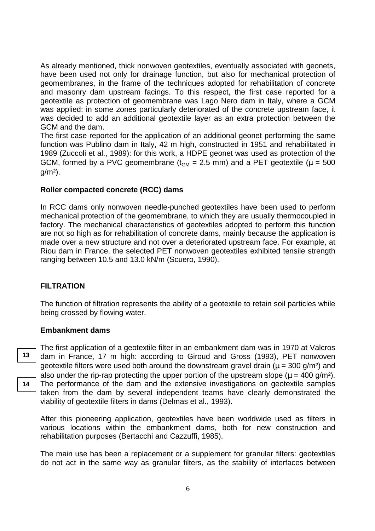As already mentioned, thick nonwoven geotextiles, eventually associated with geonets, have been used not only for drainage function, but also for mechanical protection of geomembranes, in the frame of the techniques adopted for rehabilitation of concrete and masonry dam upstream facings. To this respect, the first case reported for a geotextile as protection of geomembrane was Lago Nero dam in Italy, where a GCM was applied: in some zones particularly deteriorated of the concrete upstream face, it was decided to add an additional geotextile layer as an extra protection between the GCM and the dam.

The first case reported for the application of an additional geonet performing the same function was Publino dam in Italy, 42 m high, constructed in 1951 and rehabilitated in 1989 (Zuccoli et al., 1989): for this work, a HDPE geonet was used as protection of the GCM, formed by a PVC geomembrane ( $t_{GM}$  = 2.5 mm) and a PET geotextile ( $\mu$  = 500  $q/m<sup>2</sup>$ ).

#### **Roller compacted concrete (RCC) dams**

In RCC dams only nonwoven needle-punched geotextiles have been used to perform mechanical protection of the geomembrane, to which they are usually thermocoupled in factory. The mechanical characteristics of geotextiles adopted to perform this function are not so high as for rehabilitation of concrete dams, mainly because the application is made over a new structure and not over a deteriorated upstream face. For example, at Riou dam in France, the selected PET nonwoven geotextiles exhibited tensile strength ranging between 10.5 and 13.0 kN/m (Scuero, 1990).

#### **FILTRATION**

The function of filtration represents the ability of a geotextile to retain soil particles while being crossed by flowing water.

#### **Embankment dams**

The first application of a geotextile filter in an embankment dam was in 1970 at Valcros dam in France, 17 m high: according to Giroud and Gross (1993), PET nonwoven geotextile filters were used both around the downstream gravel drain ( $\mu = 300$  g/m<sup>2</sup>) and also under the rip-rap protecting the upper portion of the upstream slope ( $\mu$  = 400 g/m<sup>2</sup>). The performance of the dam and the extensive investigations on geotextile samples taken from the dam by several independent teams have clearly demonstrated the viability of geotextile filters in dams (Delmas et al., 1993).

After this pioneering application, geotextiles have been worldwide used as filters in various locations within the embankment dams, both for new construction and rehabilitation purposes (Bertacchi and Cazzuffi, 1985).

The main use has been a replacement or a supplement for granular filters: geotextiles do not act in the same way as granular filters, as the stability of interfaces between

**13**

**14**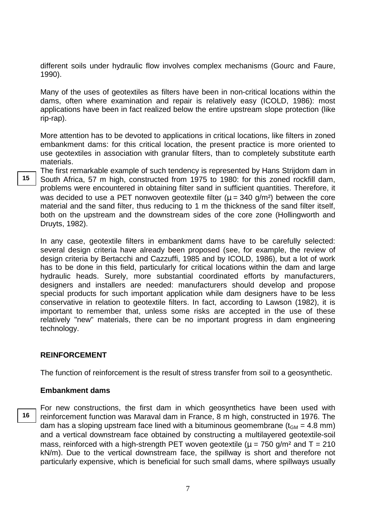different soils under hydraulic flow involves complex mechanisms (Gourc and Faure, 1990).

Many of the uses of geotextiles as filters have been in non-critical locations within the dams, often where examination and repair is relatively easy (ICOLD, 1986): most applications have been in fact realized below the entire upstream slope protection (like rip-rap).

More attention has to be devoted to applications in critical locations, like filters in zoned embankment dams: for this critical location, the present practice is more oriented to use geotextiles in association with granular filters, than to completely substitute earth materials.

The first remarkable example of such tendency is represented by Hans Strijdom dam in South Africa, 57 m high, constructed from 1975 to 1980: for this zoned rockfill dam, problems were encountered in obtaining filter sand in sufficient quantities. Therefore, it was decided to use a PET nonwoven geotextile filter ( $\mu$  = 340 g/m<sup>2</sup>) between the core material and the sand filter, thus reducing to 1 m the thickness of the sand filter itself, both on the upstream and the downstream sides of the core zone (Hollingworth and Druyts, 1982).

In any case, geotextile filters in embankment dams have to be carefully selected: several design criteria have already been proposed (see, for example, the review of design criteria by Bertacchi and Cazzuffi, 1985 and by ICOLD, 1986), but a lot of work has to be done in this field, particularly for critical locations within the dam and large hydraulic heads. Surely, more substantial coordinated efforts by manufacturers, designers and installers are needed: manufacturers should develop and propose special products for such important application while dam designers have to be less conservative in relation to geotextile filters. In fact, according to Lawson (1982), it is important to remember that, unless some risks are accepted in the use of these relatively "new" materials, there can be no important progress in dam engineering technology.

#### **REINFORCEMENT**

The function of reinforcement is the result of stress transfer from soil to a geosynthetic.

#### **Embankment dams**

**16**

**15**

For new constructions, the first dam in which geosynthetics have been used with reinforcement function was Maraval dam in France, 8 m high, constructed in 1976. The dam has a sloping upstream face lined with a bituminous geomembrane ( $t_{GM}$  = 4.8 mm) and a vertical downstream face obtained by constructing a multilayered geotextile-soil mass, reinforced with a high-strength PET woven geotextile ( $\mu$  = 750 g/m<sup>2</sup> and T = 210 kN/m). Due to the vertical downstream face, the spillway is short and therefore not particularly expensive, which is beneficial for such small dams, where spillways usually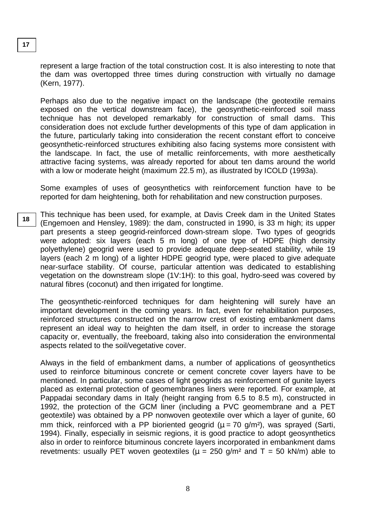**17**

represent a large fraction of the total construction cost. It is also interesting to note that the dam was overtopped three times during construction with virtually no damage (Kern, 1977).

Perhaps also due to the negative impact on the landscape (the geotextile remains exposed on the vertical downstream face), the geosynthetic-reinforced soil mass technique has not developed remarkably for construction of small dams. This consideration does not exclude further developments of this type of dam application in the future, particularly taking into consideration the recent constant effort to conceive geosynthetic-reinforced structures exhibiting also facing systems more consistent with the landscape. In fact, the use of metallic reinforcements, with more aesthetically attractive facing systems, was already reported for about ten dams around the world with a low or moderate height (maximum 22.5 m), as illustrated by ICOLD (1993a).

Some examples of uses of geosynthetics with reinforcement function have to be reported for dam heightening, both for rehabilitation and new construction purposes.

This technique has been used, for example, at Davis Creek dam in the United States (Engemoen and Hensley, 1989): the dam, constructed in 1990, is 33 m high; its upper part presents a steep geogrid-reinforced down-stream slope. Two types of geogrids were adopted: six layers (each 5 m long) of one type of HDPE (high density polyethylene) geogrid were used to provide adequate deep-seated stability, while 19 layers (each 2 m long) of a lighter HDPE geogrid type, were placed to give adequate near-surface stability. Of course, particular attention was dedicated to establishing vegetation on the downstream slope (1V:1H): to this goal, hydro-seed was covered by natural fibres (coconut) and then irrigated for longtime. **18**

The geosynthetic-reinforced techniques for dam heightening will surely have an important development in the coming years. In fact, even for rehabilitation purposes, reinforced structures constructed on the narrow crest of existing embankment dams represent an ideal way to heighten the dam itself, in order to increase the storage capacity or, eventually, the freeboard, taking also into consideration the environmental aspects related to the soil/vegetative cover.

Always in the field of embankment dams, a number of applications of geosynthetics used to reinforce bituminous concrete or cement concrete cover layers have to be mentioned. In particular, some cases of light geogrids as reinforcement of gunite layers placed as external protection of geomembranes liners were reported. For example, at Pappadai secondary dams in Italy (height ranging from 6.5 to 8.5 m), constructed in 1992, the protection of the GCM liner (including a PVC geomembrane and a PET geotextile) was obtained by a PP nonwoven geotextile over which a layer of gunite, 60 mm thick, reinforced with a PP bioriented geogrid ( $\mu$  = 70 g/m<sup>2</sup>), was sprayed (Sarti, 1994). Finally, especially in seismic regions, it is good practice to adopt geosynthetics also in order to reinforce bituminous concrete layers incorporated in embankment dams revetments: usually PET woven geotextiles ( $\mu = 250$  g/m<sup>2</sup> and T = 50 kN/m) able to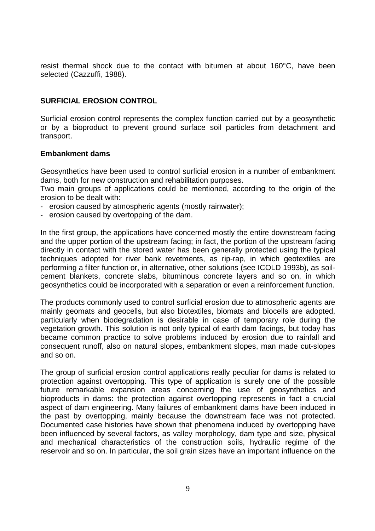resist thermal shock due to the contact with bitumen at about 160°C, have been selected (Cazzuffi, 1988).

## **SURFICIAL EROSION CONTROL**

Surficial erosion control represents the complex function carried out by a geosynthetic or by a bioproduct to prevent ground surface soil particles from detachment and transport.

## **Embankment dams**

Geosynthetics have been used to control surficial erosion in a number of embankment dams, both for new construction and rehabilitation purposes.

Two main groups of applications could be mentioned, according to the origin of the erosion to be dealt with:

- erosion caused by atmospheric agents (mostly rainwater);
- erosion caused by overtopping of the dam.

In the first group, the applications have concerned mostly the entire downstream facing and the upper portion of the upstream facing; in fact, the portion of the upstream facing directly in contact with the stored water has been generally protected using the typical techniques adopted for river bank revetments, as rip-rap, in which geotextiles are performing a filter function or, in alternative, other solutions (see ICOLD 1993b), as soilcement blankets, concrete slabs, bituminous concrete layers and so on, in which geosynthetics could be incorporated with a separation or even a reinforcement function.

The products commonly used to control surficial erosion due to atmospheric agents are mainly geomats and geocells, but also biotextiles, biomats and biocells are adopted, particularly when biodegradation is desirable in case of temporary role during the vegetation growth. This solution is not only typical of earth dam facings, but today has became common practice to solve problems induced by erosion due to rainfall and consequent runoff, also on natural slopes, embankment slopes, man made cut-slopes and so on.

The group of surficial erosion control applications really peculiar for dams is related to protection against overtopping. This type of application is surely one of the possible future remarkable expansion areas concerning the use of geosynthetics and bioproducts in dams: the protection against overtopping represents in fact a crucial aspect of dam engineering. Many failures of embankment dams have been induced in the past by overtopping, mainly because the downstream face was not protected. Documented case histories have shown that phenomena induced by overtopping have been influenced by several factors, as valley morphology, dam type and size, physical and mechanical characteristics of the construction soils, hydraulic regime of the reservoir and so on. In particular, the soil grain sizes have an important influence on the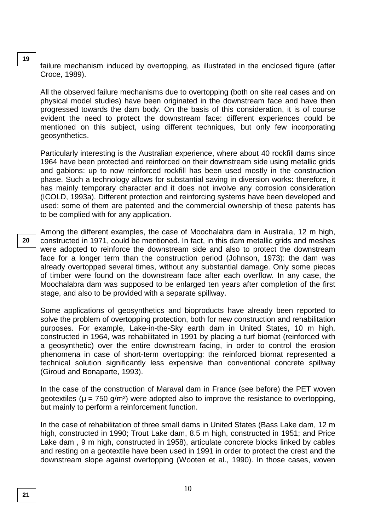failure mechanism induced by overtopping, as illustrated in the enclosed figure (after Croce, 1989).

All the observed failure mechanisms due to overtopping (both on site real cases and on physical model studies) have been originated in the downstream face and have then progressed towards the dam body. On the basis of this consideration, it is of course evident the need to protect the downstream face: different experiences could be mentioned on this subject, using different techniques, but only few incorporating geosynthetics.

Particularly interesting is the Australian experience, where about 40 rockfill dams since 1964 have been protected and reinforced on their downstream side using metallic grids and gabions: up to now reinforced rockfill has been used mostly in the construction phase. Such a technology allows for substantial saving in diversion works: therefore, it has mainly temporary character and it does not involve any corrosion consideration (ICOLD, 1993a). Different protection and reinforcing systems have been developed and used: some of them are patented and the commercial ownership of these patents has to be complied with for any application.

Among the different examples, the case of Moochalabra dam in Australia, 12 m high, constructed in 1971, could be mentioned. In fact, in this dam metallic grids and meshes were adopted to reinforce the downstream side and also to protect the downstream face for a longer term than the construction period (Johnson, 1973): the dam was already overtopped several times, without any substantial damage. Only some pieces of timber were found on the downstream face after each overflow. In any case, the Moochalabra dam was supposed to be enlarged ten years after completion of the first stage, and also to be provided with a separate spillway. **20**

Some applications of geosynthetics and bioproducts have already been reported to solve the problem of overtopping protection, both for new construction and rehabilitation purposes. For example, Lake-in-the-Sky earth dam in United States, 10 m high, constructed in 1964, was rehabilitated in 1991 by placing a turf biomat (reinforced with a geosynthetic) over the entire downstream facing, in order to control the erosion phenomena in case of short-term overtopping: the reinforced biomat represented a technical solution significantly less expensive than conventional concrete spillway (Giroud and Bonaparte, 1993).

In the case of the construction of Maraval dam in France (see before) the PET woven geotextiles ( $\mu$  = 750 g/m<sup>2</sup>) were adopted also to improve the resistance to overtopping, but mainly to perform a reinforcement function.

In the case of rehabilitation of three small dams in United States (Bass Lake dam, 12 m high, constructed in 1990; Trout Lake dam, 8.5 m high, constructed in 1951; and Price Lake dam , 9 m high, constructed in 1958), articulate concrete blocks linked by cables and resting on a geotextile have been used in 1991 in order to protect the crest and the downstream slope against overtopping (Wooten et al., 1990). In those cases, woven

**19**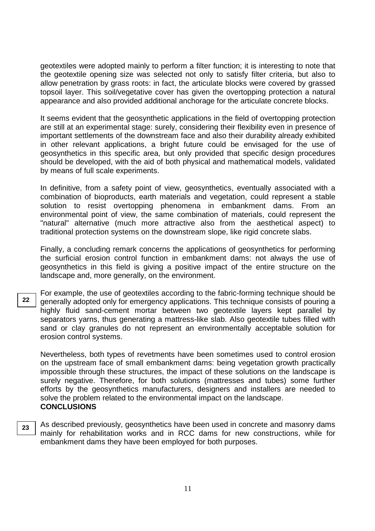geotextiles were adopted mainly to perform a filter function; it is interesting to note that the geotextile opening size was selected not only to satisfy filter criteria, but also to allow penetration by grass roots: in fact, the articulate blocks were covered by grassed topsoil layer. This soil/vegetative cover has given the overtopping protection a natural appearance and also provided additional anchorage for the articulate concrete blocks.

It seems evident that the geosynthetic applications in the field of overtopping protection are still at an experimental stage: surely, considering their flexibility even in presence of important settlements of the downstream face and also their durability already exhibited in other relevant applications, a bright future could be envisaged for the use of geosynthetics in this specific area, but only provided that specific design procedures should be developed, with the aid of both physical and mathematical models, validated by means of full scale experiments.

In definitive, from a safety point of view, geosynthetics, eventually associated with a combination of bioproducts, earth materials and vegetation, could represent a stable solution to resist overtopping phenomena in embankment dams. From an environmental point of view, the same combination of materials, could represent the "natural" alternative (much more attractive also from the aesthetical aspect) to traditional protection systems on the downstream slope, like rigid concrete slabs.

Finally, a concluding remark concerns the applications of geosynthetics for performing the surficial erosion control function in embankment dams: not always the use of geosynthetics in this field is giving a positive impact of the entire structure on the landscape and, more generally, on the environment.

For example, the use of geotextiles according to the fabric-forming technique should be generally adopted only for emergency applications. This technique consists of pouring a highly fluid sand-cement mortar between two geotextile layers kept parallel by separators yarns, thus generating a mattress-like slab. Also geotextile tubes filled with sand or clay granules do not represent an environmentally acceptable solution for erosion control systems.

Nevertheless, both types of revetments have been sometimes used to control erosion on the upstream face of small embankment dams: being vegetation growth practically impossible through these structures, the impact of these solutions on the landscape is surely negative. Therefore, for both solutions (mattresses and tubes) some further efforts by the geosynthetics manufacturers, designers and installers are needed to solve the problem related to the environmental impact on the landscape. **CONCLUSIONS**

As described previously, geosynthetics have been used in concrete and masonry dams mainly for rehabilitation works and in RCC dams for new constructions, while for embankment dams they have been employed for both purposes. **23**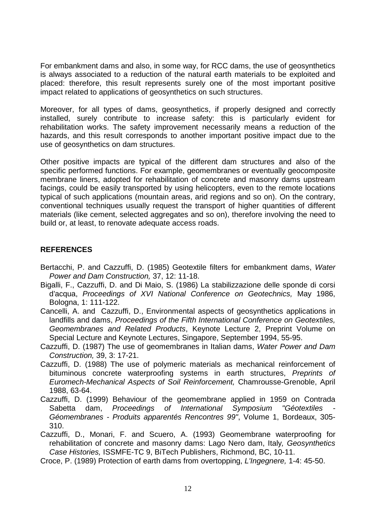For embankment dams and also, in some way, for RCC dams, the use of geosynthetics is always associated to a reduction of the natural earth materials to be exploited and placed: therefore, this result represents surely one of the most important positive impact related to applications of geosynthetics on such structures.

Moreover, for all types of dams, geosynthetics, if properly designed and correctly installed, surely contribute to increase safety: this is particularly evident for rehabilitation works. The safety improvement necessarily means a reduction of the hazards, and this result corresponds to another important positive impact due to the use of geosynthetics on dam structures.

Other positive impacts are typical of the different dam structures and also of the specific performed functions. For example, geomembranes or eventually geocomposite membrane liners, adopted for rehabilitation of concrete and masonry dams upstream facings, could be easily transported by using helicopters, even to the remote locations typical of such applications (mountain areas, arid regions and so on). On the contrary, conventional techniques usually request the transport of higher quantities of different materials (like cement, selected aggregates and so on), therefore involving the need to build or, at least, to renovate adequate access roads.

## **REFERENCES**

- Bertacchi, P. and Cazzuffi, D. (1985) Geotextile filters for embankment dams, Water Power and Dam Construction, 37, 12: 11-18.
- Bigalli, F., Cazzuffi, D. and Di Maio, S. (1986) La stabilizzazione delle sponde di corsi d'acqua, Proceedings of XVI National Conference on Geotechnics, May 1986, Bologna, 1: 111-122.
- Cancelli, A. and Cazzuffi, D., Environmental aspects of geosynthetics applications in landfills and dams, Proceedings of the Fifth International Conference on Geotextiles, Geomembranes and Related Products, Keynote Lecture 2, Preprint Volume on Special Lecture and Keynote Lectures, Singapore, September 1994, 55-95.
- Cazzuffi, D. (1987) The use of geomembranes in Italian dams, Water Power and Dam Construction, 39, 3: 17-21.
- Cazzuffi, D. (1988) The use of polymeric materials as mechanical reinforcement of bituminous concrete waterproofing systems in earth structures, Preprints of Euromech-Mechanical Aspects of Soil Reinforcement, Chamrousse-Grenoble, April 1988, 63-64.
- Cazzuffi, D. (1999) Behaviour of the geomembrane applied in 1959 on Contrada Sabetta dam, Proceedings of International Symposium "Géotextiles Géomembranes - Produits apparentés Rencontres 99", Volume 1, Bordeaux, 305- 310.
- Cazzuffi, D., Monari, F. and Scuero, A. (1993) Geomembrane waterproofing for rehabilitation of concrete and masonry dams: Lago Nero dam, Italy, Geosynthetics Case Histories, ISSMFE-TC 9, BiTech Publishers, Richmond, BC, 10-11.

Croce, P. (1989) Protection of earth dams from overtopping, L'Ingegnere, 1-4: 45-50.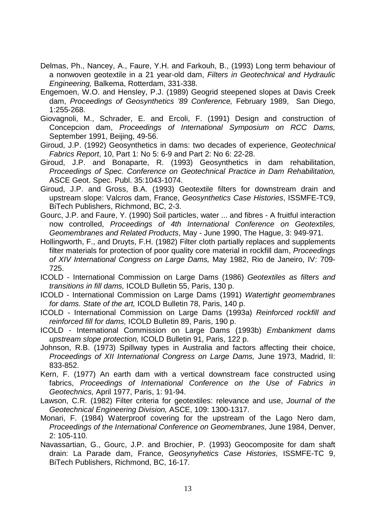- Delmas, Ph., Nancey, A., Faure, Y.H. and Farkouh, B., (1993) Long term behaviour of a nonwoven geotextile in a 21 year-old dam, Filters in Geotechnical and Hydraulic Engineering, Balkema, Rotterdam, 331-338.
- Engemoen, W.O. and Hensley, P.J. (1989) Geogrid steepened slopes at Davis Creek dam, Proceedings of Geosynthetics '89 Conference, February 1989, San Diego, 1:255-268.
- Giovagnoli, M., Schrader, E. and Ercoli, F. (1991) Design and construction of Concepcion dam, Proceedings of International Symposium on RCC Dams, September 1991, Beijing, 49-56.
- Giroud, J.P. (1992) Geosynthetics in dams: two decades of experience, Geotechnical Fabrics Report, 10, Part 1: No 5: 6-9 and Part 2: No 6: 22-28.
- Giroud, J.P. and Bonaparte, R. (1993) Geosynthetics in dam rehabilitation, Proceedings of Spec. Conference on Geotechnical Practice in Dam Rehabilitation, ASCE Geot. Spec. Publ. 35:1043-1074.
- Giroud, J.P. and Gross, B.A. (1993) Geotextile filters for downstream drain and upstream slope: Valcros dam, France, Geosynthetics Case Histories, ISSMFE-TC9, BiTech Publishers, Richmond, BC, 2-3.
- Gourc, J.P. and Faure, Y. (1990) Soil particles, water ... and fibres A fruitful interaction now controlled, Proceedings of 4th International Conference on Geotextiles, Geomembranes and Related Products, May - June 1990, The Hague, 3: 949-971.
- Hollingworth, F., and Druyts, F.H. (1982) Filter cloth partially replaces and supplements filter materials for protection of poor quality core material in rockfill dam, Proceedings of XIV International Congress on Large Dams, May 1982, Rio de Janeiro, IV: 709- 725.
- ICOLD International Commission on Large Dams (1986) Geotextiles as filters and transitions in fill dams, ICOLD Bulletin 55, Paris, 130 p.
- ICOLD International Commission on Large Dams (1991) Watertight geomembranes for dams. State of the art, ICOLD Bulletin 78, Paris, 140 p.
- ICOLD International Commission on Large Dams (1993a) Reinforced rockfill and reinforced fill for dams, ICOLD Bulletin 89, Paris, 190 p.
- ICOLD International Commission on Large Dams (1993b) Embankment dams upstream slope protection, ICOLD Bulletin 91, Paris, 122 p.
- Johnson, R.B. (1973) Spillway types in Australia and factors affecting their choice, Proceedings of XII International Congress on Large Dams, June 1973, Madrid, II: 833-852.
- Kern, F. (1977) An earth dam with a vertical downstream face constructed using fabrics, Proceedings of International Conference on the Use of Fabrics in Geotechnics, April 1977, Paris, 1: 91-94.
- Lawson, C.R. (1982) Filter criteria for geotextiles: relevance and use, Journal of the Geotechnical Engineering Division, ASCE, 109: 1300-1317.
- Monari, F. (1984) Waterproof covering for the upstream of the Lago Nero dam, Proceedings of the International Conference on Geomembranes, June 1984, Denver, 2: 105-110.
- Navassartian, G., Gourc, J.P. and Brochier, P. (1993) Geocomposite for dam shaft drain: La Parade dam, France, Geosynyhetics Case Histories, ISSMFE-TC 9, BiTech Publishers, Richmond, BC, 16-17.